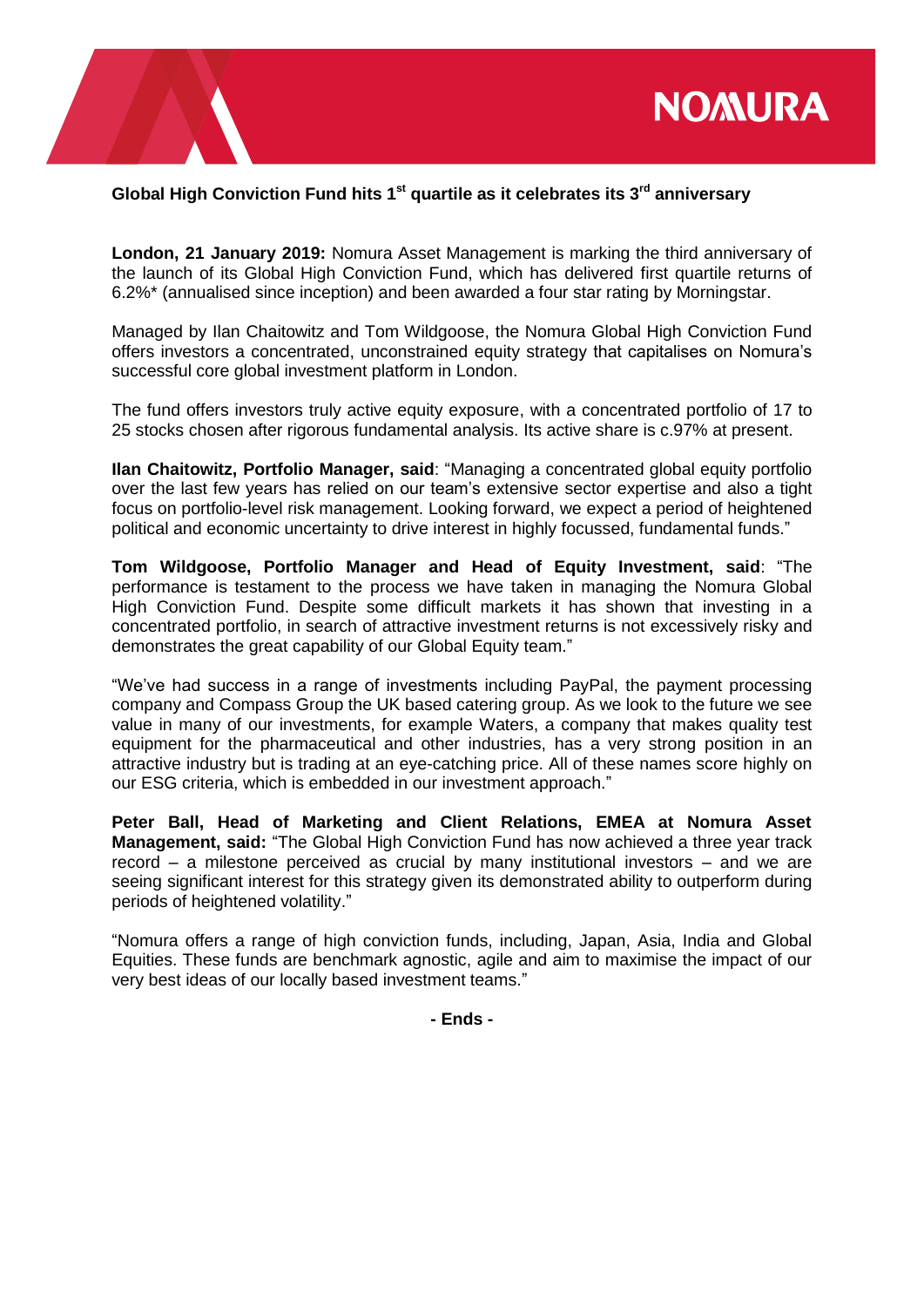

## **Global High Conviction Fund hits 1st quartile as it celebrates its 3rd anniversary**

**London, 21 January 2019:** Nomura Asset Management is marking the third anniversary of the launch of its Global High Conviction Fund, which has delivered first quartile returns of 6.2%\* (annualised since inception) and been awarded a four star rating by Morningstar.

Managed by Ilan Chaitowitz and Tom Wildgoose, the Nomura Global High Conviction Fund offers investors a concentrated, unconstrained equity strategy that capitalises on Nomura's successful core global investment platform in London.

The fund offers investors truly active equity exposure, with a concentrated portfolio of 17 to 25 stocks chosen after rigorous fundamental analysis. Its active share is c.97% at present.

**Ilan Chaitowitz, Portfolio Manager, said**: "Managing a concentrated global equity portfolio over the last few years has relied on our team's extensive sector expertise and also a tight focus on portfolio-level risk management. Looking forward, we expect a period of heightened political and economic uncertainty to drive interest in highly focussed, fundamental funds."

**Tom Wildgoose, Portfolio Manager and Head of Equity Investment, said**: "The performance is testament to the process we have taken in managing the Nomura Global High Conviction Fund. Despite some difficult markets it has shown that investing in a concentrated portfolio, in search of attractive investment returns is not excessively risky and demonstrates the great capability of our Global Equity team."

"We've had success in a range of investments including PayPal, the payment processing company and Compass Group the UK based catering group. As we look to the future we see value in many of our investments, for example Waters, a company that makes quality test equipment for the pharmaceutical and other industries, has a very strong position in an attractive industry but is trading at an eye-catching price. All of these names score highly on our ESG criteria, which is embedded in our investment approach."

**Peter Ball, Head of Marketing and Client Relations, EMEA at Nomura Asset Management, said:** "The Global High Conviction Fund has now achieved a three year track record – a milestone perceived as crucial by many institutional investors – and we are seeing significant interest for this strategy given its demonstrated ability to outperform during periods of heightened volatility."

"Nomura offers a range of high conviction funds, including, Japan, Asia, India and Global Equities. These funds are benchmark agnostic, agile and aim to maximise the impact of our very best ideas of our locally based investment teams."

**- Ends -**